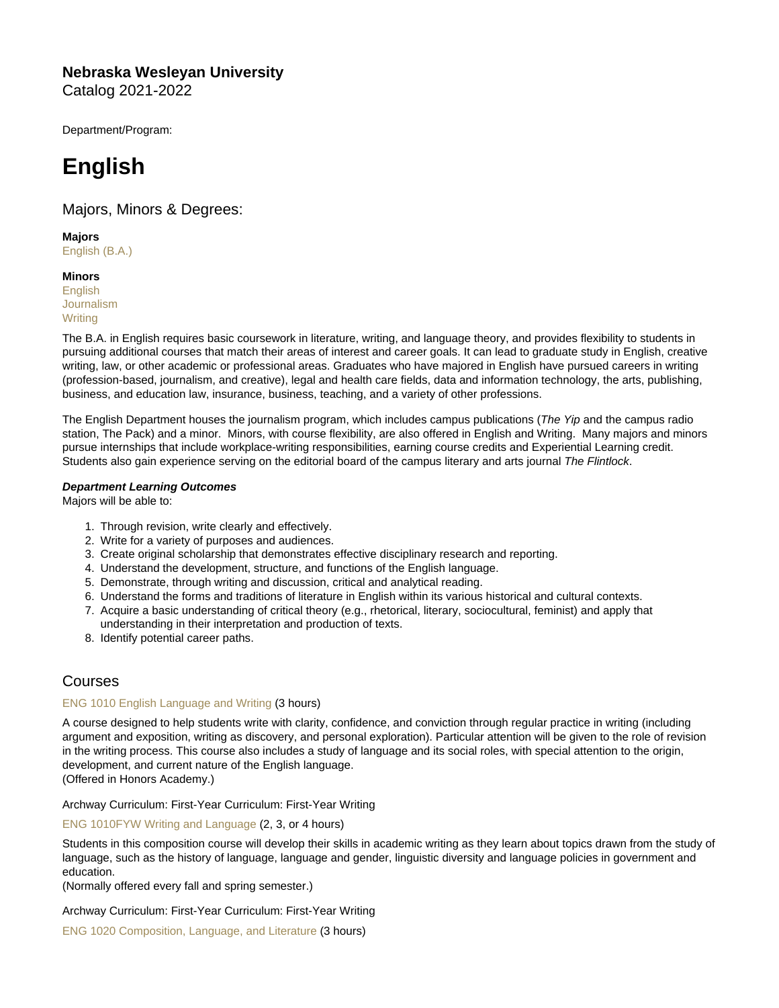Nebraska Wesleyan University Catalog 2021-2022

Department/Program:

# English

## Majors, Minors & Degrees:

Majors [English \(B.A.\)](https://catalog.nebrwesleyan.edu/cc/2021-2022/mmd/363253)

**Minors [English](https://catalog.nebrwesleyan.edu/cc/2021-2022/mmd/363254)** [Journalism](https://catalog.nebrwesleyan.edu/cc/2021-2022/mmd/363255) **[Writing](https://catalog.nebrwesleyan.edu/cc/2021-2022/mmd/363256)** 

The B.A. in English requires basic coursework in literature, writing, and language theory, and provides flexibility to students in pursuing additional courses that match their areas of interest and career goals. It can lead to graduate study in English, creative writing, law, or other academic or professional areas. Graduates who have majored in English have pursued careers in writing (profession-based, journalism, and creative), legal and health care fields, data and information technology, the arts, publishing, business, and education law, insurance, business, teaching, and a variety of other professions.

The English Department houses the journalism program, which includes campus publications (The Yip and the campus radio station, The Pack) and a minor. Minors, with course flexibility, are also offered in English and Writing. Many majors and minors pursue internships that include workplace-writing responsibilities, earning course credits and Experiential Learning credit. Students also gain experience serving on the editorial board of the campus literary and arts journal The Flintlock.

Department Learning Outcomes Majors will be able to:

- 1. Through revision, write clearly and effectively.
- 2. Write for a variety of purposes and audiences.
- 3. Create original scholarship that demonstrates effective disciplinary research and reporting.
- 4. Understand the development, structure, and functions of the English language.
- 5. Demonstrate, through writing and discussion, critical and analytical reading.
- 6. Understand the forms and traditions of literature in English within its various historical and cultural contexts.
- 7. Acquire a basic understanding of critical theory (e.g., rhetorical, literary, sociocultural, feminist) and apply that understanding in their interpretation and production of texts.
- 8. Identify potential career paths.

# Courses

## [ENG 1010 English Language and Writing](https://catalog.nebrwesleyan.edu/node/360286) (3 hours)

A course designed to help students write with clarity, confidence, and conviction through regular practice in writing (including argument and exposition, writing as discovery, and personal exploration). Particular attention will be given to the role of revision in the writing process. This course also includes a study of language and its social roles, with special attention to the origin, development, and current nature of the English language. (Offered in Honors Academy.)

Archway Curriculum: First-Year Curriculum: First-Year Writing

[ENG 1010FYW Writing and Language](https://catalog.nebrwesleyan.edu/node/361335) (2, 3, or 4 hours)

Students in this composition course will develop their skills in academic writing as they learn about topics drawn from the study of language, such as the history of language, language and gender, linguistic diversity and language policies in government and education.

(Normally offered every fall and spring semester.)

Archway Curriculum: First-Year Curriculum: First-Year Writing

[ENG 1020 Composition, Language, and Literature](https://catalog.nebrwesleyan.edu/node/360287) (3 hours)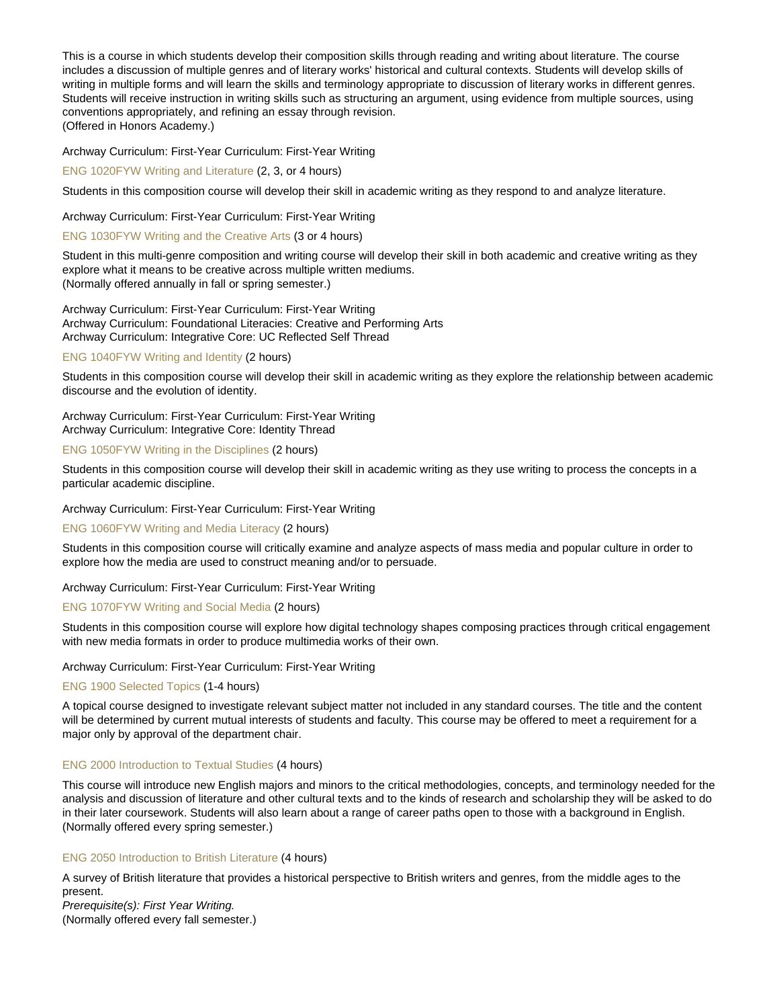This is a course in which students develop their composition skills through reading and writing about literature. The course includes a discussion of multiple genres and of literary works' historical and cultural contexts. Students will develop skills of writing in multiple forms and will learn the skills and terminology appropriate to discussion of literary works in different genres. Students will receive instruction in writing skills such as structuring an argument, using evidence from multiple sources, using conventions appropriately, and refining an essay through revision. (Offered in Honors Academy.)

Archway Curriculum: First-Year Curriculum: First-Year Writing

## [ENG 1020FYW Writing and Literature](https://catalog.nebrwesleyan.edu/node/361337) (2, 3, or 4 hours)

Students in this composition course will develop their skill in academic writing as they respond to and analyze literature.

## Archway Curriculum: First-Year Curriculum: First-Year Writing

## [ENG 1030FYW Writing and the Creative Arts](https://catalog.nebrwesleyan.edu/node/361339) (3 or 4 hours)

Student in this multi-genre composition and writing course will develop their skill in both academic and creative writing as they explore what it means to be creative across multiple written mediums. (Normally offered annually in fall or spring semester.)

Archway Curriculum: First-Year Curriculum: First-Year Writing Archway Curriculum: Foundational Literacies: Creative and Performing Arts Archway Curriculum: Integrative Core: UC Reflected Self Thread

## [ENG 1040FYW Writing and Identity](https://catalog.nebrwesleyan.edu/node/361340) (2 hours)

Students in this composition course will develop their skill in academic writing as they explore the relationship between academic discourse and the evolution of identity.

Archway Curriculum: First-Year Curriculum: First-Year Writing Archway Curriculum: Integrative Core: Identity Thread

## [ENG 1050FYW Writing in the Disciplines](https://catalog.nebrwesleyan.edu/node/361341) (2 hours)

Students in this composition course will develop their skill in academic writing as they use writing to process the concepts in a particular academic discipline.

Archway Curriculum: First-Year Curriculum: First-Year Writing

## [ENG 1060FYW Writing and Media Literacy](https://catalog.nebrwesleyan.edu/node/361342) (2 hours)

Students in this composition course will critically examine and analyze aspects of mass media and popular culture in order to explore how the media are used to construct meaning and/or to persuade.

## Archway Curriculum: First-Year Curriculum: First-Year Writing

## [ENG 1070FYW Writing and Social Media](https://catalog.nebrwesleyan.edu/node/361343) (2 hours)

Students in this composition course will explore how digital technology shapes composing practices through critical engagement with new media formats in order to produce multimedia works of their own.

## Archway Curriculum: First-Year Curriculum: First-Year Writing

## [ENG 1900 Selected Topics](https://catalog.nebrwesleyan.edu/node/361346) (1-4 hours)

A topical course designed to investigate relevant subject matter not included in any standard courses. The title and the content will be determined by current mutual interests of students and faculty. This course may be offered to meet a requirement for a major only by approval of the department chair.

## [ENG 2000 Introduction to Textual Studies](https://catalog.nebrwesleyan.edu/node/360288) (4 hours)

This course will introduce new English majors and minors to the critical methodologies, concepts, and terminology needed for the analysis and discussion of literature and other cultural texts and to the kinds of research and scholarship they will be asked to do in their later coursework. Students will also learn about a range of career paths open to those with a background in English. (Normally offered every spring semester.)

## [ENG 2050 Introduction to British Literature](https://catalog.nebrwesleyan.edu/node/360290) (4 hours)

A survey of British literature that provides a historical perspective to British writers and genres, from the middle ages to the present.

Prerequisite(s): First Year Writing.

(Normally offered every fall semester.)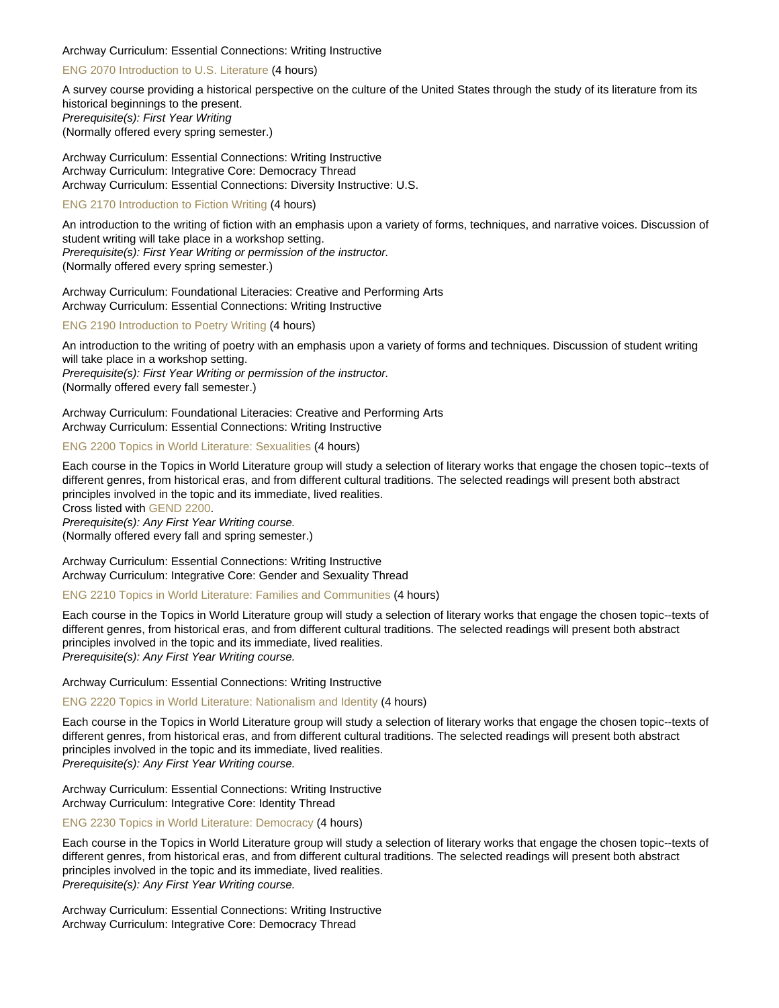## Archway Curriculum: Essential Connections: Writing Instructive

## [ENG 2070 Introduction to U.S. Literature](https://catalog.nebrwesleyan.edu/node/360292) (4 hours)

A survey course providing a historical perspective on the culture of the United States through the study of its literature from its historical beginnings to the present. Prerequisite(s): First Year Writing (Normally offered every spring semester.)

Archway Curriculum: Essential Connections: Writing Instructive Archway Curriculum: Integrative Core: Democracy Thread Archway Curriculum: Essential Connections: Diversity Instructive: U.S.

#### [ENG 2170 Introduction to Fiction Writing](https://catalog.nebrwesleyan.edu/node/360295) (4 hours)

An introduction to the writing of fiction with an emphasis upon a variety of forms, techniques, and narrative voices. Discussion of student writing will take place in a workshop setting. Prerequisite(s): First Year Writing or permission of the instructor. (Normally offered every spring semester.)

Archway Curriculum: Foundational Literacies: Creative and Performing Arts Archway Curriculum: Essential Connections: Writing Instructive

#### [ENG 2190 Introduction to Poetry Writing](https://catalog.nebrwesleyan.edu/node/360296) (4 hours)

An introduction to the writing of poetry with an emphasis upon a variety of forms and techniques. Discussion of student writing will take place in a workshop setting. Prerequisite(s): First Year Writing or permission of the instructor. (Normally offered every fall semester.)

Archway Curriculum: Foundational Literacies: Creative and Performing Arts Archway Curriculum: Essential Connections: Writing Instructive

## [ENG 2200 Topics in World Literature: Sexualities](https://catalog.nebrwesleyan.edu/node/360793) (4 hours)

Each course in the Topics in World Literature group will study a selection of literary works that engage the chosen topic--texts of different genres, from historical eras, and from different cultural traditions. The selected readings will present both abstract principles involved in the topic and its immediate, lived realities.

Cross listed with [GEND 2200.](https://catalog.nebrwesleyan.edu/cc/2021-2022/course/361763)

Prerequisite(s): Any First Year Writing course. (Normally offered every fall and spring semester.)

Archway Curriculum: Essential Connections: Writing Instructive Archway Curriculum: Integrative Core: Gender and Sexuality Thread

## [ENG 2210 Topics in World Literature: Families and Communities](https://catalog.nebrwesleyan.edu/node/360794) (4 hours)

Each course in the Topics in World Literature group will study a selection of literary works that engage the chosen topic--texts of different genres, from historical eras, and from different cultural traditions. The selected readings will present both abstract principles involved in the topic and its immediate, lived realities. Prerequisite(s): Any First Year Writing course.

Archway Curriculum: Essential Connections: Writing Instructive

#### [ENG 2220 Topics in World Literature: Nationalism and Identity](https://catalog.nebrwesleyan.edu/node/360795) (4 hours)

Each course in the Topics in World Literature group will study a selection of literary works that engage the chosen topic--texts of different genres, from historical eras, and from different cultural traditions. The selected readings will present both abstract principles involved in the topic and its immediate, lived realities. Prerequisite(s): Any First Year Writing course.

Archway Curriculum: Essential Connections: Writing Instructive Archway Curriculum: Integrative Core: Identity Thread

[ENG 2230 Topics in World Literature: Democracy](https://catalog.nebrwesleyan.edu/node/360796) (4 hours)

Each course in the Topics in World Literature group will study a selection of literary works that engage the chosen topic--texts of different genres, from historical eras, and from different cultural traditions. The selected readings will present both abstract principles involved in the topic and its immediate, lived realities. Prerequisite(s): Any First Year Writing course.

Archway Curriculum: Essential Connections: Writing Instructive Archway Curriculum: Integrative Core: Democracy Thread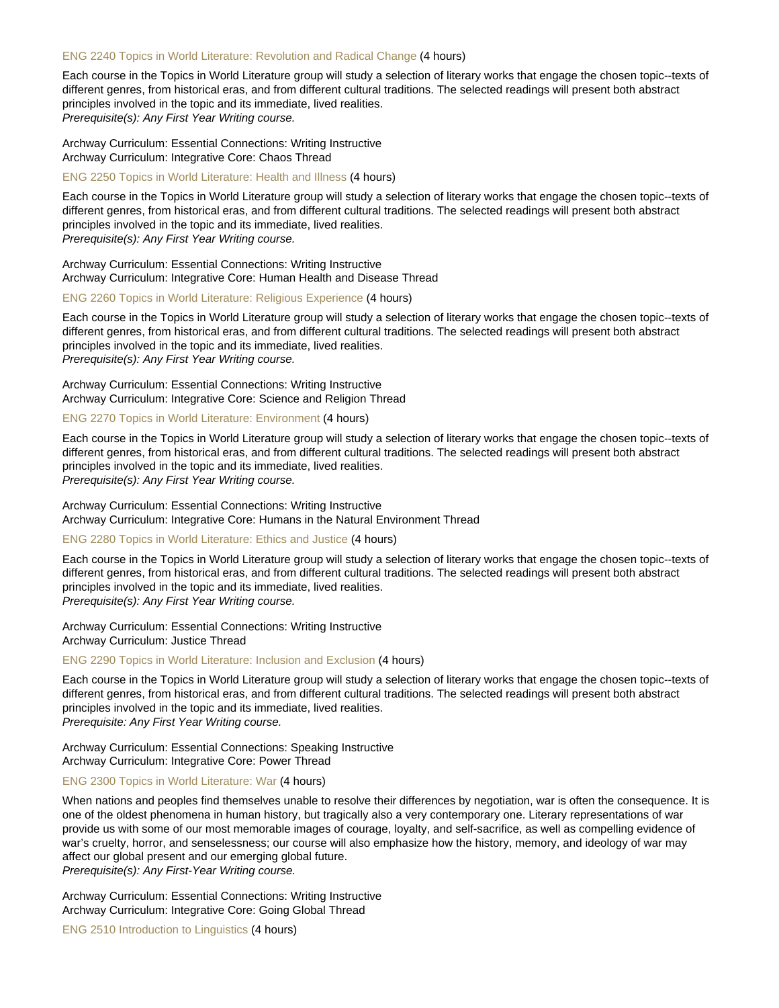#### [ENG 2240 Topics in World Literature: Revolution and Radical Change](https://catalog.nebrwesleyan.edu/node/360797) (4 hours)

Each course in the Topics in World Literature group will study a selection of literary works that engage the chosen topic--texts of different genres, from historical eras, and from different cultural traditions. The selected readings will present both abstract principles involved in the topic and its immediate, lived realities. Prerequisite(s): Any First Year Writing course.

Archway Curriculum: Essential Connections: Writing Instructive Archway Curriculum: Integrative Core: Chaos Thread

[ENG 2250 Topics in World Literature: Health and Illness](https://catalog.nebrwesleyan.edu/node/360798) (4 hours)

Each course in the Topics in World Literature group will study a selection of literary works that engage the chosen topic--texts of different genres, from historical eras, and from different cultural traditions. The selected readings will present both abstract principles involved in the topic and its immediate, lived realities. Prerequisite(s): Any First Year Writing course.

Archway Curriculum: Essential Connections: Writing Instructive Archway Curriculum: Integrative Core: Human Health and Disease Thread

#### [ENG 2260 Topics in World Literature: Religious Experience](https://catalog.nebrwesleyan.edu/node/360799) (4 hours)

Each course in the Topics in World Literature group will study a selection of literary works that engage the chosen topic--texts of different genres, from historical eras, and from different cultural traditions. The selected readings will present both abstract principles involved in the topic and its immediate, lived realities. Prerequisite(s): Any First Year Writing course.

Archway Curriculum: Essential Connections: Writing Instructive Archway Curriculum: Integrative Core: Science and Religion Thread

## [ENG 2270 Topics in World Literature: Environment](https://catalog.nebrwesleyan.edu/node/360800) (4 hours)

Each course in the Topics in World Literature group will study a selection of literary works that engage the chosen topic--texts of different genres, from historical eras, and from different cultural traditions. The selected readings will present both abstract principles involved in the topic and its immediate, lived realities. Prerequisite(s): Any First Year Writing course.

Archway Curriculum: Essential Connections: Writing Instructive Archway Curriculum: Integrative Core: Humans in the Natural Environment Thread

#### [ENG 2280 Topics in World Literature: Ethics and Justice](https://catalog.nebrwesleyan.edu/node/360801) (4 hours)

Each course in the Topics in World Literature group will study a selection of literary works that engage the chosen topic--texts of different genres, from historical eras, and from different cultural traditions. The selected readings will present both abstract principles involved in the topic and its immediate, lived realities. Prerequisite(s): Any First Year Writing course.

Archway Curriculum: Essential Connections: Writing Instructive Archway Curriculum: Justice Thread

[ENG 2290 Topics in World Literature: Inclusion and Exclusion](https://catalog.nebrwesleyan.edu/node/360802) (4 hours)

Each course in the Topics in World Literature group will study a selection of literary works that engage the chosen topic--texts of different genres, from historical eras, and from different cultural traditions. The selected readings will present both abstract principles involved in the topic and its immediate, lived realities. Prerequisite: Any First Year Writing course.

Archway Curriculum: Essential Connections: Speaking Instructive Archway Curriculum: Integrative Core: Power Thread

## [ENG 2300 Topics in World Literature: War](https://catalog.nebrwesleyan.edu/node/362988) (4 hours)

When nations and peoples find themselves unable to resolve their differences by negotiation, war is often the consequence. It is one of the oldest phenomena in human history, but tragically also a very contemporary one. Literary representations of war provide us with some of our most memorable images of courage, loyalty, and self-sacrifice, as well as compelling evidence of war's cruelty, horror, and senselessness; our course will also emphasize how the history, memory, and ideology of war may affect our global present and our emerging global future.

Prerequisite(s): Any First-Year Writing course.

Archway Curriculum: Essential Connections: Writing Instructive Archway Curriculum: Integrative Core: Going Global Thread

[ENG 2510 Introduction to Linguistics](https://catalog.nebrwesleyan.edu/node/360297) (4 hours)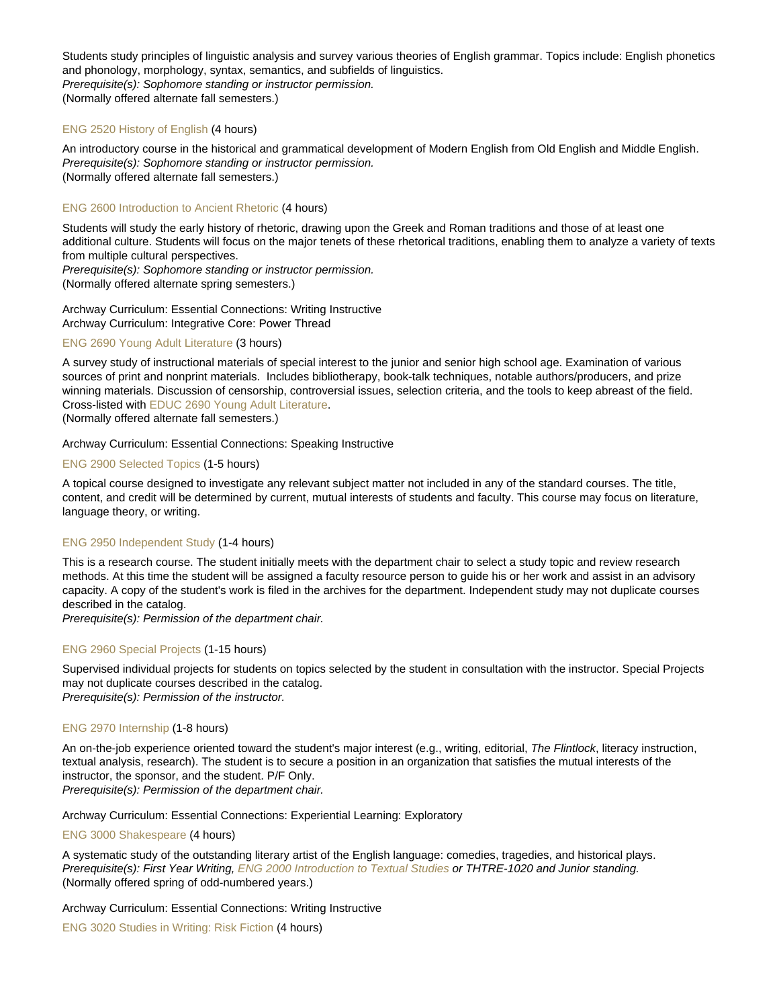Students study principles of linguistic analysis and survey various theories of English grammar. Topics include: English phonetics and phonology, morphology, syntax, semantics, and subfields of linguistics. Prerequisite(s): Sophomore standing or instructor permission. (Normally offered alternate fall semesters.)

## [ENG 2520 History of English](https://catalog.nebrwesleyan.edu/node/360298) (4 hours)

An introductory course in the historical and grammatical development of Modern English from Old English and Middle English. Prerequisite(s): Sophomore standing or instructor permission. (Normally offered alternate fall semesters.)

## [ENG 2600 Introduction to Ancient Rhetoric](https://catalog.nebrwesleyan.edu/node/360299) (4 hours)

Students will study the early history of rhetoric, drawing upon the Greek and Roman traditions and those of at least one additional culture. Students will focus on the major tenets of these rhetorical traditions, enabling them to analyze a variety of texts from multiple cultural perspectives.

Prerequisite(s): Sophomore standing or instructor permission. (Normally offered alternate spring semesters.)

Archway Curriculum: Essential Connections: Writing Instructive Archway Curriculum: Integrative Core: Power Thread

#### [ENG 2690 Young Adult Literature](https://catalog.nebrwesleyan.edu/node/360303) (3 hours)

A survey study of instructional materials of special interest to the junior and senior high school age. Examination of various sources of print and nonprint materials. Includes bibliotherapy, book-talk techniques, notable authors/producers, and prize winning materials. Discussion of censorship, controversial issues, selection criteria, and the tools to keep abreast of the field. Cross-listed with [EDUC 2690 Young Adult Literature.](https://catalog.nebrwesleyan.edu/cc/2021-2022/course/359743)

(Normally offered alternate fall semesters.)

## Archway Curriculum: Essential Connections: Speaking Instructive

#### [ENG 2900 Selected Topics](https://catalog.nebrwesleyan.edu/node/360304) (1-5 hours)

A topical course designed to investigate any relevant subject matter not included in any of the standard courses. The title, content, and credit will be determined by current, mutual interests of students and faculty. This course may focus on literature, language theory, or writing.

#### [ENG 2950 Independent Study](https://catalog.nebrwesleyan.edu/node/361348) (1-4 hours)

This is a research course. The student initially meets with the department chair to select a study topic and review research methods. At this time the student will be assigned a faculty resource person to guide his or her work and assist in an advisory capacity. A copy of the student's work is filed in the archives for the department. Independent study may not duplicate courses described in the catalog.

Prerequisite(s): Permission of the department chair.

#### [ENG 2960 Special Projects](https://catalog.nebrwesleyan.edu/node/361349) (1-15 hours)

Supervised individual projects for students on topics selected by the student in consultation with the instructor. Special Projects may not duplicate courses described in the catalog. Prerequisite(s): Permission of the instructor.

## [ENG 2970 Internship](https://catalog.nebrwesleyan.edu/node/361350) (1-8 hours)

An on-the-job experience oriented toward the student's major interest (e.g., writing, editorial, The Flintlock, literacy instruction, textual analysis, research). The student is to secure a position in an organization that satisfies the mutual interests of the instructor, the sponsor, and the student. P/F Only. Prerequisite(s): Permission of the department chair.

Archway Curriculum: Essential Connections: Experiential Learning: Exploratory

#### [ENG 3000 Shakespeare](https://catalog.nebrwesleyan.edu/node/360305) (4 hours)

A systematic study of the outstanding literary artist of the English language: comedies, tragedies, and historical plays. Prerequisite(s): First Year Writing, [ENG 2000 Introduction to Textual Studies](https://catalog.nebrwesleyan.edu/cc/2021-2022/course/360288) or THTRE-1020 and Junior standing. (Normally offered spring of odd-numbered years.)

Archway Curriculum: Essential Connections: Writing Instructive

[ENG 3020 Studies in Writing: Risk Fiction](https://catalog.nebrwesleyan.edu/node/361351) (4 hours)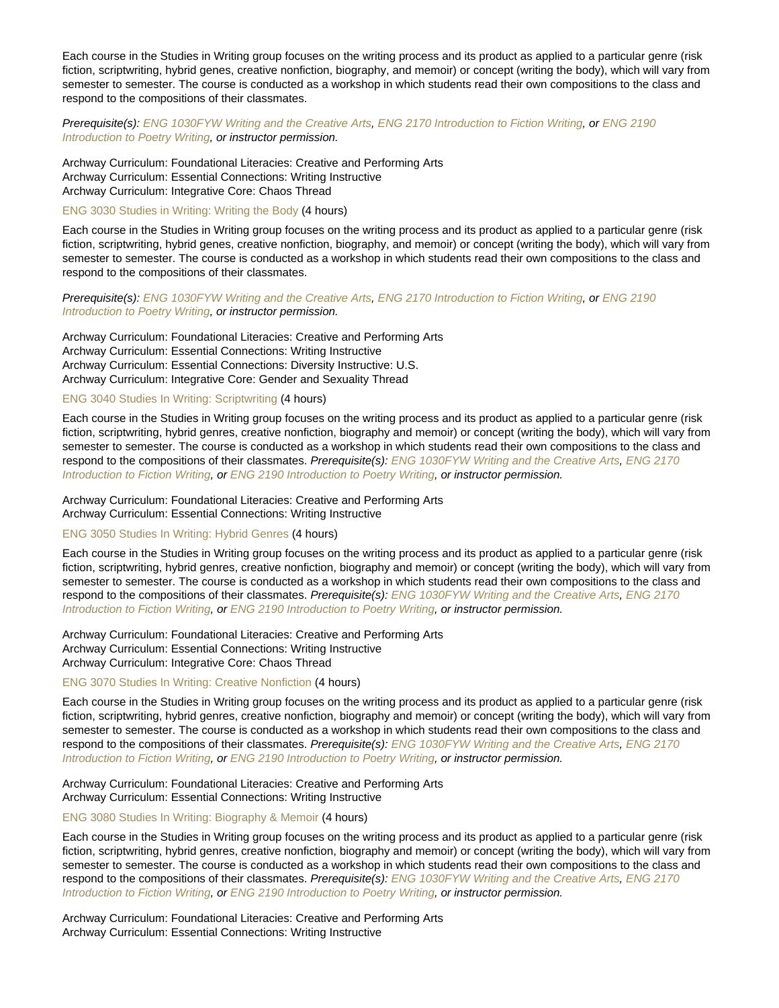Each course in the Studies in Writing group focuses on the writing process and its product as applied to a particular genre (risk fiction, scriptwriting, hybrid genes, creative nonfiction, biography, and memoir) or concept (writing the body), which will vary from semester to semester. The course is conducted as a workshop in which students read their own compositions to the class and respond to the compositions of their classmates.

Prerequisite(s): [ENG 1030FYW Writing and the Creative Arts](https://catalog.nebrwesleyan.edu/cc/2021-2022/course/361339), [ENG 2170 Introduction to Fiction Writing](https://catalog.nebrwesleyan.edu/cc/2021-2022/course/360295), or [ENG 2190](https://catalog.nebrwesleyan.edu/cc/2021-2022/course/360296) [Introduction to Poetry Writing](https://catalog.nebrwesleyan.edu/cc/2021-2022/course/360296), or instructor permission.

Archway Curriculum: Foundational Literacies: Creative and Performing Arts Archway Curriculum: Essential Connections: Writing Instructive Archway Curriculum: Integrative Core: Chaos Thread

#### [ENG 3030 Studies in Writing: Writing the Body](https://catalog.nebrwesleyan.edu/node/362946) (4 hours)

Each course in the Studies in Writing group focuses on the writing process and its product as applied to a particular genre (risk fiction, scriptwriting, hybrid genes, creative nonfiction, biography, and memoir) or concept (writing the body), which will vary from semester to semester. The course is conducted as a workshop in which students read their own compositions to the class and respond to the compositions of their classmates.

Prerequisite(s): [ENG 1030FYW Writing and the Creative Arts](https://catalog.nebrwesleyan.edu/cc/2021-2022/course/361339), [ENG 2170 Introduction to Fiction Writing](https://catalog.nebrwesleyan.edu/cc/2021-2022/course/360295), or [ENG 2190](https://catalog.nebrwesleyan.edu/cc/2021-2022/course/360296) [Introduction to Poetry Writing](https://catalog.nebrwesleyan.edu/cc/2021-2022/course/360296), or instructor permission.

Archway Curriculum: Foundational Literacies: Creative and Performing Arts Archway Curriculum: Essential Connections: Writing Instructive Archway Curriculum: Essential Connections: Diversity Instructive: U.S. Archway Curriculum: Integrative Core: Gender and Sexuality Thread

## [ENG 3040 Studies In Writing: Scriptwriting](https://catalog.nebrwesleyan.edu/node/363006) (4 hours)

Each course in the Studies in Writing group focuses on the writing process and its product as applied to a particular genre (risk fiction, scriptwriting, hybrid genres, creative nonfiction, biography and memoir) or concept (writing the body), which will vary from semester to semester. The course is conducted as a workshop in which students read their own compositions to the class and respond to the compositions of their classmates. Prerequisite(s): [ENG 1030FYW Writing and the Creative Arts](https://catalog.nebrwesleyan.edu/cc/2021-2022/course/361339), [ENG 2170](https://catalog.nebrwesleyan.edu/cc/2021-2022/course/360295) [Introduction to Fiction Writing,](https://catalog.nebrwesleyan.edu/cc/2021-2022/course/360295) or [ENG 2190 Introduction to Poetry Writing,](https://catalog.nebrwesleyan.edu/cc/2021-2022/course/360296) or instructor permission.

Archway Curriculum: Foundational Literacies: Creative and Performing Arts Archway Curriculum: Essential Connections: Writing Instructive

## [ENG 3050 Studies In Writing: Hybrid Genres](https://catalog.nebrwesleyan.edu/node/363023) (4 hours)

Each course in the Studies in Writing group focuses on the writing process and its product as applied to a particular genre (risk fiction, scriptwriting, hybrid genres, creative nonfiction, biography and memoir) or concept (writing the body), which will vary from semester to semester. The course is conducted as a workshop in which students read their own compositions to the class and respond to the compositions of their classmates. Prerequisite(s): [ENG 1030FYW Writing and the Creative Arts](https://catalog.nebrwesleyan.edu/cc/2021-2022/course/361339), [ENG 2170](https://catalog.nebrwesleyan.edu/cc/2021-2022/course/360295) [Introduction to Fiction Writing,](https://catalog.nebrwesleyan.edu/cc/2021-2022/course/360295) or [ENG 2190 Introduction to Poetry Writing,](https://catalog.nebrwesleyan.edu/cc/2021-2022/course/360296) or instructor permission.

Archway Curriculum: Foundational Literacies: Creative and Performing Arts Archway Curriculum: Essential Connections: Writing Instructive Archway Curriculum: Integrative Core: Chaos Thread

## [ENG 3070 Studies In Writing: Creative Nonfiction](https://catalog.nebrwesleyan.edu/node/363024) (4 hours)

Each course in the Studies in Writing group focuses on the writing process and its product as applied to a particular genre (risk fiction, scriptwriting, hybrid genres, creative nonfiction, biography and memoir) or concept (writing the body), which will vary from semester to semester. The course is conducted as a workshop in which students read their own compositions to the class and respond to the compositions of their classmates. Prerequisite(s): [ENG 1030FYW Writing and the Creative Arts](https://catalog.nebrwesleyan.edu/cc/2021-2022/course/361339), [ENG 2170](https://catalog.nebrwesleyan.edu/cc/2021-2022/course/360295) [Introduction to Fiction Writing,](https://catalog.nebrwesleyan.edu/cc/2021-2022/course/360295) or [ENG 2190 Introduction to Poetry Writing,](https://catalog.nebrwesleyan.edu/cc/2021-2022/course/360296) or instructor permission.

## Archway Curriculum: Foundational Literacies: Creative and Performing Arts

Archway Curriculum: Essential Connections: Writing Instructive

## [ENG 3080 Studies In Writing: Biography & Memoir](https://catalog.nebrwesleyan.edu/node/363025) (4 hours)

Each course in the Studies in Writing group focuses on the writing process and its product as applied to a particular genre (risk fiction, scriptwriting, hybrid genres, creative nonfiction, biography and memoir) or concept (writing the body), which will vary from semester to semester. The course is conducted as a workshop in which students read their own compositions to the class and respond to the compositions of their classmates. Prerequisite(s): [ENG 1030FYW Writing and the Creative Arts](https://catalog.nebrwesleyan.edu/cc/2021-2022/course/361339), [ENG 2170](https://catalog.nebrwesleyan.edu/cc/2021-2022/course/360295) [Introduction to Fiction Writing,](https://catalog.nebrwesleyan.edu/cc/2021-2022/course/360295) or [ENG 2190 Introduction to Poetry Writing,](https://catalog.nebrwesleyan.edu/cc/2021-2022/course/360296) or instructor permission.

Archway Curriculum: Foundational Literacies: Creative and Performing Arts Archway Curriculum: Essential Connections: Writing Instructive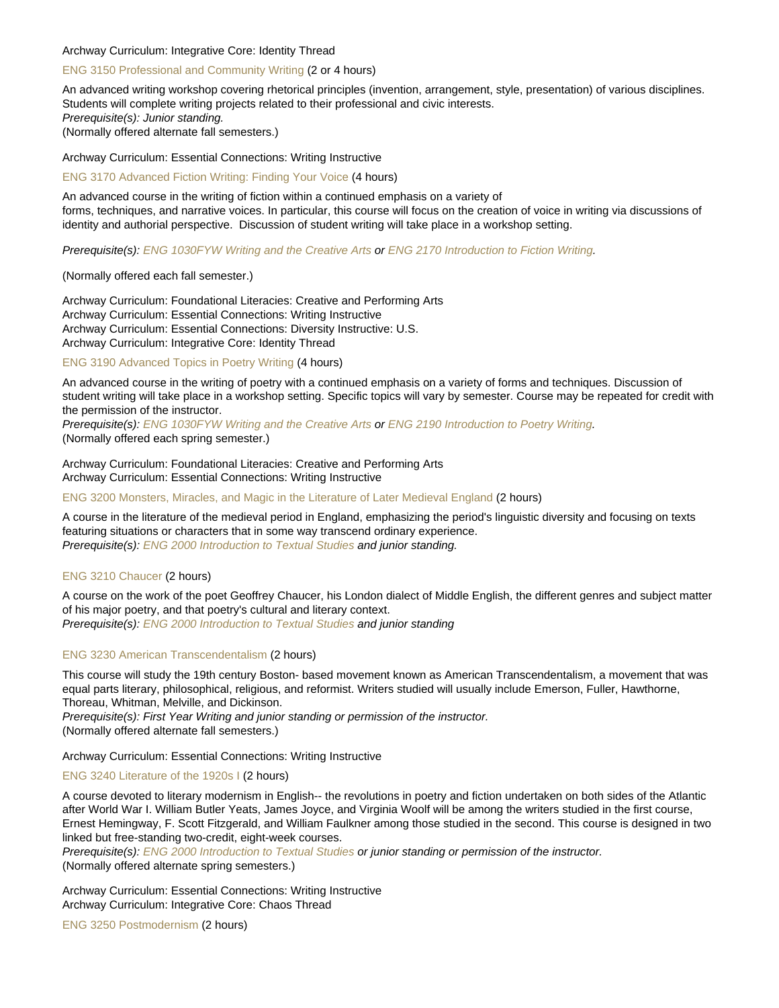## Archway Curriculum: Integrative Core: Identity Thread

## [ENG 3150 Professional and Community Writing](https://catalog.nebrwesleyan.edu/node/360306) (2 or 4 hours)

An advanced writing workshop covering rhetorical principles (invention, arrangement, style, presentation) of various disciplines. Students will complete writing projects related to their professional and civic interests. Prerequisite(s): Junior standing. (Normally offered alternate fall semesters.)

Archway Curriculum: Essential Connections: Writing Instructive

[ENG 3170 Advanced Fiction Writing: Finding Your Voice](https://catalog.nebrwesleyan.edu/node/363002) (4 hours)

An advanced course in the writing of fiction within a continued emphasis on a variety of forms, techniques, and narrative voices. In particular, this course will focus on the creation of voice in writing via discussions of identity and authorial perspective. Discussion of student writing will take place in a workshop setting.

Prerequisite(s): [ENG 1030FYW Writing and the Creative Arts](https://catalog.nebrwesleyan.edu/cc/2021-2022/course/361339) or [ENG 2170 Introduction to Fiction Writing](https://catalog.nebrwesleyan.edu/cc/2021-2022/course/360295).

## (Normally offered each fall semester.)

Archway Curriculum: Foundational Literacies: Creative and Performing Arts Archway Curriculum: Essential Connections: Writing Instructive Archway Curriculum: Essential Connections: Diversity Instructive: U.S. Archway Curriculum: Integrative Core: Identity Thread

[ENG 3190 Advanced Topics in Poetry Writing](https://catalog.nebrwesleyan.edu/node/360307) (4 hours)

An advanced course in the writing of poetry with a continued emphasis on a variety of forms and techniques. Discussion of student writing will take place in a workshop setting. Specific topics will vary by semester. Course may be repeated for credit with the permission of the instructor.

Prerequisite(s): [ENG 1030FYW Writing and the Creative Arts](https://catalog.nebrwesleyan.edu/cc/2021-2022/course/361339) or [ENG 2190 Introduction to Poetry Writing.](https://catalog.nebrwesleyan.edu/cc/2021-2022/course/360296) (Normally offered each spring semester.)

Archway Curriculum: Foundational Literacies: Creative and Performing Arts Archway Curriculum: Essential Connections: Writing Instructive

[ENG 3200 Monsters, Miracles, and Magic in the Literature of Later Medieval England](https://catalog.nebrwesleyan.edu/node/361755) (2 hours)

A course in the literature of the medieval period in England, emphasizing the period's linguistic diversity and focusing on texts featuring situations or characters that in some way transcend ordinary experience. Prerequisite(s): [ENG 2000 Introduction to Textual Studies](https://catalog.nebrwesleyan.edu/cc/2021-2022/course/360288) and junior standing.

## [ENG 3210 Chaucer](https://catalog.nebrwesleyan.edu/node/360308) (2 hours)

A course on the work of the poet Geoffrey Chaucer, his London dialect of Middle English, the different genres and subject matter of his major poetry, and that poetry's cultural and literary context.

Prerequisite(s): [ENG 2000 Introduction to Textual Studies](https://catalog.nebrwesleyan.edu/cc/2021-2022/course/360288) and junior standing

## [ENG 3230 American Transcendentalism](https://catalog.nebrwesleyan.edu/node/360310) (2 hours)

This course will study the 19th century Boston- based movement known as American Transcendentalism, a movement that was equal parts literary, philosophical, religious, and reformist. Writers studied will usually include Emerson, Fuller, Hawthorne, Thoreau, Whitman, Melville, and Dickinson.

Prerequisite(s): First Year Writing and junior standing or permission of the instructor.

(Normally offered alternate fall semesters.)

Archway Curriculum: Essential Connections: Writing Instructive

## [ENG 3240 Literature of the 1920s I](https://catalog.nebrwesleyan.edu/node/360311) (2 hours)

A course devoted to literary modernism in English-- the revolutions in poetry and fiction undertaken on both sides of the Atlantic after World War I. William Butler Yeats, James Joyce, and Virginia Woolf will be among the writers studied in the first course, Ernest Hemingway, F. Scott Fitzgerald, and William Faulkner among those studied in the second. This course is designed in two linked but free-standing two-credit, eight-week courses.

Prerequisite(s): [ENG 2000 Introduction to Textual Studies](https://catalog.nebrwesleyan.edu/cc/2021-2022/course/360288) or junior standing or permission of the instructor.

(Normally offered alternate spring semesters.)

Archway Curriculum: Essential Connections: Writing Instructive Archway Curriculum: Integrative Core: Chaos Thread

[ENG 3250 Postmodernism](https://catalog.nebrwesleyan.edu/node/360312) (2 hours)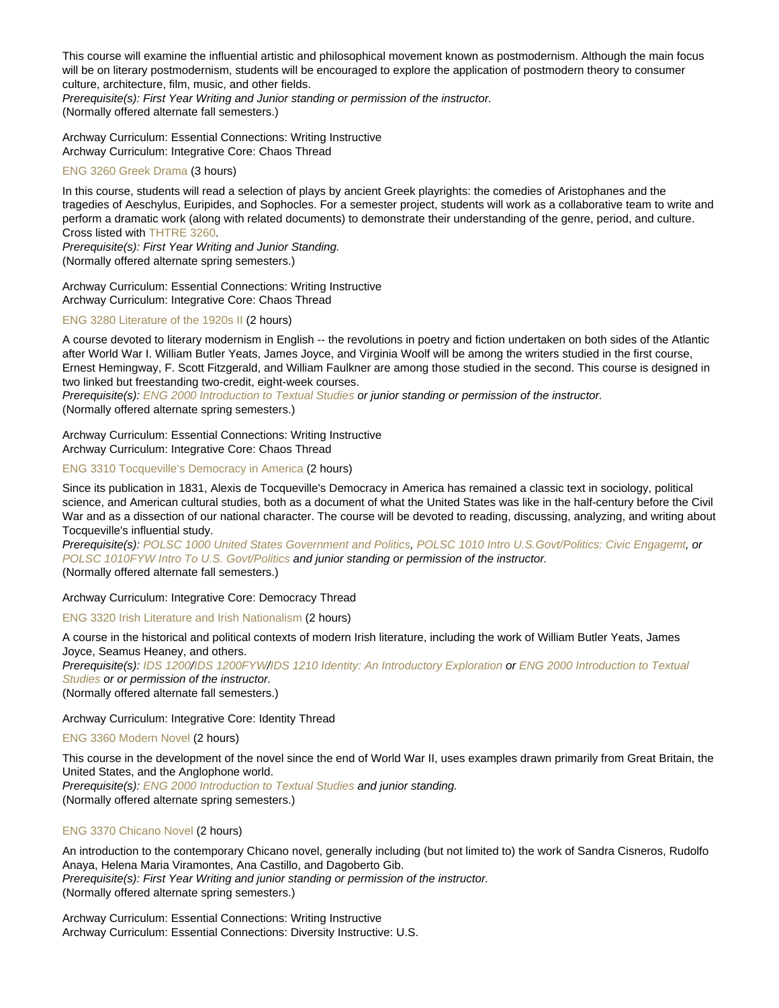This course will examine the influential artistic and philosophical movement known as postmodernism. Although the main focus will be on literary postmodernism, students will be encouraged to explore the application of postmodern theory to consumer culture, architecture, film, music, and other fields.

Prerequisite(s): First Year Writing and Junior standing or permission of the instructor. (Normally offered alternate fall semesters.)

Archway Curriculum: Essential Connections: Writing Instructive Archway Curriculum: Integrative Core: Chaos Thread

## [ENG 3260 Greek Drama](https://catalog.nebrwesleyan.edu/node/361756) (3 hours)

In this course, students will read a selection of plays by ancient Greek playrights: the comedies of Aristophanes and the tragedies of Aeschylus, Euripides, and Sophocles. For a semester project, students will work as a collaborative team to write and perform a dramatic work (along with related documents) to demonstrate their understanding of the genre, period, and culture. Cross listed with [THTRE 3260.](https://catalog.nebrwesleyan.edu/cc/2021-2022/course/362568)

Prerequisite(s): First Year Writing and Junior Standing. (Normally offered alternate spring semesters.)

Archway Curriculum: Essential Connections: Writing Instructive Archway Curriculum: Integrative Core: Chaos Thread

## [ENG 3280 Literature of the 1920s II](https://catalog.nebrwesleyan.edu/node/362401) (2 hours)

A course devoted to literary modernism in English -- the revolutions in poetry and fiction undertaken on both sides of the Atlantic after World War I. William Butler Yeats, James Joyce, and Virginia Woolf will be among the writers studied in the first course, Ernest Hemingway, F. Scott Fitzgerald, and William Faulkner are among those studied in the second. This course is designed in two linked but freestanding two-credit, eight-week courses.

Prerequisite(s): [ENG 2000 Introduction to Textual Studies](https://catalog.nebrwesleyan.edu/cc/2021-2022/course/360288) or junior standing or permission of the instructor. (Normally offered alternate spring semesters.)

Archway Curriculum: Essential Connections: Writing Instructive Archway Curriculum: Integrative Core: Chaos Thread

## [ENG 3310 Tocqueville's Democracy in America](https://catalog.nebrwesleyan.edu/node/360313) (2 hours)

Since its publication in 1831, Alexis de Tocqueville's Democracy in America has remained a classic text in sociology, political science, and American cultural studies, both as a document of what the United States was like in the half-century before the Civil War and as a dissection of our national character. The course will be devoted to reading, discussing, analyzing, and writing about Tocqueville's influential study.

Prerequisite(s): [POLSC 1000 United States Government and Politics,](https://catalog.nebrwesleyan.edu/cc/2021-2022/course/360123) [POLSC 1010 Intro U.S.Govt/Politics: Civic Engagemt](https://catalog.nebrwesleyan.edu/cc/2021-2022/course/363038), or [POLSC 1010FYW Intro To U.S. Govt/Politics](https://catalog.nebrwesleyan.edu/cc/2021-2022/course/363039) and junior standing or permission of the instructor. (Normally offered alternate fall semesters.)

Archway Curriculum: Integrative Core: Democracy Thread

[ENG 3320 Irish Literature and Irish Nationalism](https://catalog.nebrwesleyan.edu/node/360314) (2 hours)

A course in the historical and political contexts of modern Irish literature, including the work of William Butler Yeats, James Joyce, Seamus Heaney, and others. Prerequisite(s): [IDS 1200](https://catalog.nebrwesleyan.edu/cc/2021-2022/course/362432)/[IDS 1200FYW](https://catalog.nebrwesleyan.edu/cc/2021-2022/course/362584)/[IDS 1210 Identity: An Introductory Exploration](https://catalog.nebrwesleyan.edu/cc/2021-2022/course/362883) or [ENG 2000 Introduction to Textual](https://catalog.nebrwesleyan.edu/cc/2021-2022/course/360288) [Studies](https://catalog.nebrwesleyan.edu/cc/2021-2022/course/360288) or or permission of the instructor.

(Normally offered alternate fall semesters.)

Archway Curriculum: Integrative Core: Identity Thread

[ENG 3360 Modern Novel](https://catalog.nebrwesleyan.edu/node/360317) (2 hours)

This course in the development of the novel since the end of World War II, uses examples drawn primarily from Great Britain, the United States, and the Anglophone world.

Prerequisite(s): [ENG 2000 Introduction to Textual Studies](https://catalog.nebrwesleyan.edu/cc/2021-2022/course/360288) and junior standing.

(Normally offered alternate spring semesters.)

## [ENG 3370 Chicano Novel](https://catalog.nebrwesleyan.edu/node/361757) (2 hours)

An introduction to the contemporary Chicano novel, generally including (but not limited to) the work of Sandra Cisneros, Rudolfo Anaya, Helena Maria Viramontes, Ana Castillo, and Dagoberto Gib. Prerequisite(s): First Year Writing and junior standing or permission of the instructor. (Normally offered alternate spring semesters.)

Archway Curriculum: Essential Connections: Writing Instructive Archway Curriculum: Essential Connections: Diversity Instructive: U.S.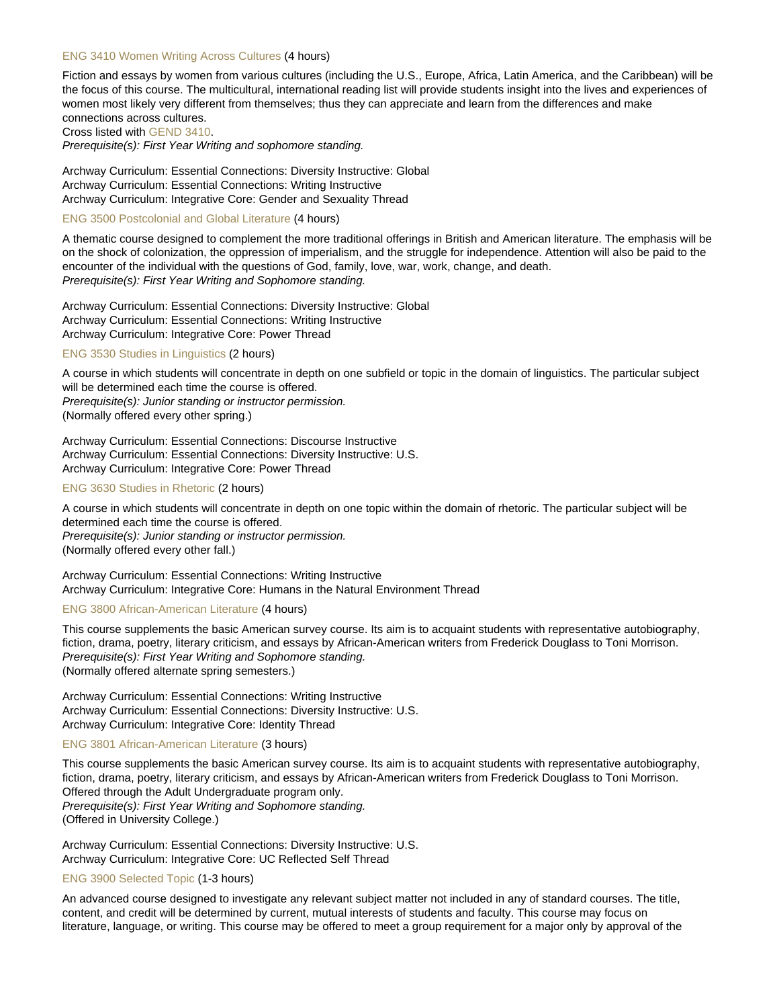#### [ENG 3410 Women Writing Across Cultures](https://catalog.nebrwesleyan.edu/node/360318) (4 hours)

Fiction and essays by women from various cultures (including the U.S., Europe, Africa, Latin America, and the Caribbean) will be the focus of this course. The multicultural, international reading list will provide students insight into the lives and experiences of women most likely very different from themselves; thus they can appreciate and learn from the differences and make connections across cultures.

Cross listed with [GEND 3410.](https://catalog.nebrwesleyan.edu/cc/2021-2022/course/360862)

Prerequisite(s): First Year Writing and sophomore standing.

Archway Curriculum: Essential Connections: Diversity Instructive: Global Archway Curriculum: Essential Connections: Writing Instructive Archway Curriculum: Integrative Core: Gender and Sexuality Thread

#### [ENG 3500 Postcolonial and Global Literature](https://catalog.nebrwesleyan.edu/node/360319) (4 hours)

A thematic course designed to complement the more traditional offerings in British and American literature. The emphasis will be on the shock of colonization, the oppression of imperialism, and the struggle for independence. Attention will also be paid to the encounter of the individual with the questions of God, family, love, war, work, change, and death. Prerequisite(s): First Year Writing and Sophomore standing.

Archway Curriculum: Essential Connections: Diversity Instructive: Global Archway Curriculum: Essential Connections: Writing Instructive Archway Curriculum: Integrative Core: Power Thread

## [ENG 3530 Studies in Linguistics](https://catalog.nebrwesleyan.edu/node/360320) (2 hours)

A course in which students will concentrate in depth on one subfield or topic in the domain of linguistics. The particular subject will be determined each time the course is offered. Prerequisite(s): Junior standing or instructor permission. (Normally offered every other spring.)

Archway Curriculum: Essential Connections: Discourse Instructive Archway Curriculum: Essential Connections: Diversity Instructive: U.S. Archway Curriculum: Integrative Core: Power Thread

#### [ENG 3630 Studies in Rhetoric](https://catalog.nebrwesleyan.edu/node/360321) (2 hours)

A course in which students will concentrate in depth on one topic within the domain of rhetoric. The particular subject will be determined each time the course is offered. Prerequisite(s): Junior standing or instructor permission.

(Normally offered every other fall.)

Archway Curriculum: Essential Connections: Writing Instructive Archway Curriculum: Integrative Core: Humans in the Natural Environment Thread

#### [ENG 3800 African-American Literature](https://catalog.nebrwesleyan.edu/node/360323) (4 hours)

This course supplements the basic American survey course. Its aim is to acquaint students with representative autobiography, fiction, drama, poetry, literary criticism, and essays by African-American writers from Frederick Douglass to Toni Morrison. Prerequisite(s): First Year Writing and Sophomore standing. (Normally offered alternate spring semesters.)

Archway Curriculum: Essential Connections: Writing Instructive Archway Curriculum: Essential Connections: Diversity Instructive: U.S. Archway Curriculum: Integrative Core: Identity Thread

## [ENG 3801 African-American Literature](https://catalog.nebrwesleyan.edu/node/362578) (3 hours)

This course supplements the basic American survey course. Its aim is to acquaint students with representative autobiography, fiction, drama, poetry, literary criticism, and essays by African-American writers from Frederick Douglass to Toni Morrison. Offered through the Adult Undergraduate program only. Prerequisite(s): First Year Writing and Sophomore standing. (Offered in University College.)

Archway Curriculum: Essential Connections: Diversity Instructive: U.S. Archway Curriculum: Integrative Core: UC Reflected Self Thread

#### [ENG 3900 Selected Topic](https://catalog.nebrwesleyan.edu/node/360324) (1-3 hours)

An advanced course designed to investigate any relevant subject matter not included in any of standard courses. The title, content, and credit will be determined by current, mutual interests of students and faculty. This course may focus on literature, language, or writing. This course may be offered to meet a group requirement for a major only by approval of the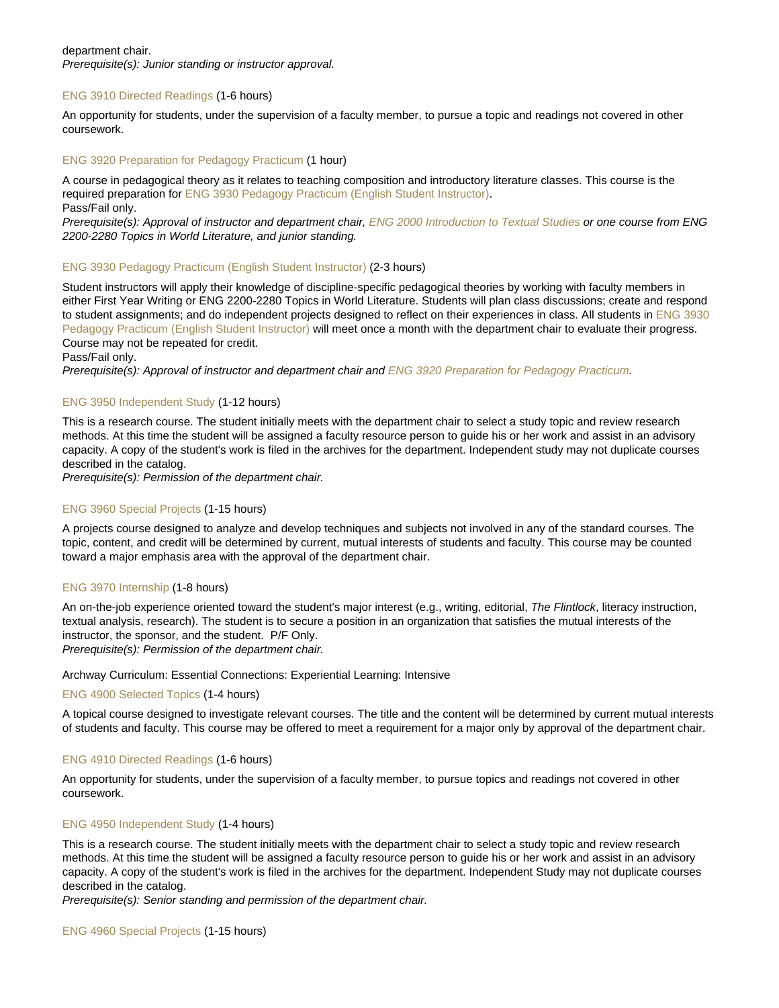## department chair.

Prerequisite(s): Junior standing or instructor approval.

## [ENG 3910 Directed Readings](https://catalog.nebrwesleyan.edu/node/360325) (1-6 hours)

An opportunity for students, under the supervision of a faculty member, to pursue a topic and readings not covered in other coursework.

## [ENG 3920 Preparation for Pedagogy Practicum](https://catalog.nebrwesleyan.edu/node/360326) (1 hour)

A course in pedagogical theory as it relates to teaching composition and introductory literature classes. This course is the required preparation for [ENG 3930 Pedagogy Practicum \(English Student Instructor\).](https://catalog.nebrwesleyan.edu/cc/2021-2022/course/360327) Pass/Fail only.

Prerequisite(s): Approval of instructor and department chair, [ENG 2000 Introduction to Textual Studies](https://catalog.nebrwesleyan.edu/cc/2021-2022/course/360288) or one course from ENG 2200-2280 Topics in World Literature, and junior standing.

#### [ENG 3930 Pedagogy Practicum \(English Student Instructor\)](https://catalog.nebrwesleyan.edu/node/360327) (2-3 hours)

Student instructors will apply their knowledge of discipline-specific pedagogical theories by working with faculty members in either First Year Writing or ENG 2200-2280 Topics in World Literature. Students will plan class discussions; create and respond to student assignments; and do independent projects designed to reflect on their experiences in class. All students in [ENG 3930](https://catalog.nebrwesleyan.edu/cc/2021-2022/course/360327) [Pedagogy Practicum \(English Student Instructor\)](https://catalog.nebrwesleyan.edu/cc/2021-2022/course/360327) will meet once a month with the department chair to evaluate their progress. Course may not be repeated for credit.

Pass/Fail only.

Prerequisite(s): Approval of instructor and department chair and [ENG 3920 Preparation for Pedagogy Practicum.](https://catalog.nebrwesleyan.edu/cc/2021-2022/course/360326)

#### [ENG 3950 Independent Study](https://catalog.nebrwesleyan.edu/node/360328) (1-12 hours)

This is a research course. The student initially meets with the department chair to select a study topic and review research methods. At this time the student will be assigned a faculty resource person to guide his or her work and assist in an advisory capacity. A copy of the student's work is filed in the archives for the department. Independent study may not duplicate courses described in the catalog.

Prerequisite(s): Permission of the department chair.

## [ENG 3960 Special Projects](https://catalog.nebrwesleyan.edu/node/360329) (1-15 hours)

A projects course designed to analyze and develop techniques and subjects not involved in any of the standard courses. The topic, content, and credit will be determined by current, mutual interests of students and faculty. This course may be counted toward a major emphasis area with the approval of the department chair.

## [ENG 3970 Internship](https://catalog.nebrwesleyan.edu/node/360330) (1-8 hours)

An on-the-job experience oriented toward the student's major interest (e.g., writing, editorial, The Flintlock, literacy instruction, textual analysis, research). The student is to secure a position in an organization that satisfies the mutual interests of the instructor, the sponsor, and the student. P/F Only.

Prerequisite(s): Permission of the department chair.

#### Archway Curriculum: Essential Connections: Experiential Learning: Intensive

#### [ENG 4900 Selected Topics](https://catalog.nebrwesleyan.edu/node/361352) (1-4 hours)

A topical course designed to investigate relevant courses. The title and the content will be determined by current mutual interests of students and faculty. This course may be offered to meet a requirement for a major only by approval of the department chair.

#### [ENG 4910 Directed Readings](https://catalog.nebrwesleyan.edu/node/361353) (1-6 hours)

An opportunity for students, under the supervision of a faculty member, to pursue topics and readings not covered in other coursework.

#### [ENG 4950 Independent Study](https://catalog.nebrwesleyan.edu/node/361354) (1-4 hours)

This is a research course. The student initially meets with the department chair to select a study topic and review research methods. At this time the student will be assigned a faculty resource person to guide his or her work and assist in an advisory capacity. A copy of the student's work is filed in the archives for the department. Independent Study may not duplicate courses described in the catalog.

Prerequisite(s): Senior standing and permission of the department chair.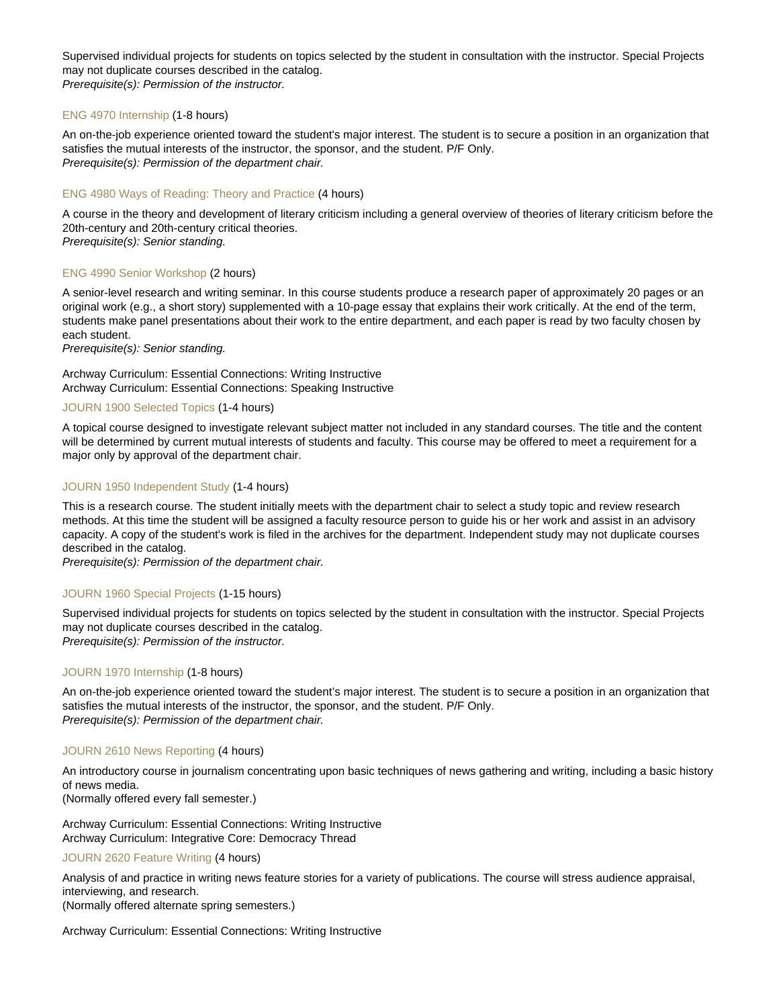Supervised individual projects for students on topics selected by the student in consultation with the instructor. Special Projects may not duplicate courses described in the catalog. Prerequisite(s): Permission of the instructor.

## [ENG 4970 Internship](https://catalog.nebrwesleyan.edu/node/362860) (1-8 hours)

An on-the-job experience oriented toward the student's major interest. The student is to secure a position in an organization that satisfies the mutual interests of the instructor, the sponsor, and the student. P/F Only. Prerequisite(s): Permission of the department chair.

## [ENG 4980 Ways of Reading: Theory and Practice](https://catalog.nebrwesleyan.edu/node/360331) (4 hours)

A course in the theory and development of literary criticism including a general overview of theories of literary criticism before the 20th-century and 20th-century critical theories.

Prerequisite(s): Senior standing.

#### [ENG 4990 Senior Workshop](https://catalog.nebrwesleyan.edu/node/360332) (2 hours)

A senior-level research and writing seminar. In this course students produce a research paper of approximately 20 pages or an original work (e.g., a short story) supplemented with a 10-page essay that explains their work critically. At the end of the term, students make panel presentations about their work to the entire department, and each paper is read by two faculty chosen by each student.

Prerequisite(s): Senior standing.

Archway Curriculum: Essential Connections: Writing Instructive Archway Curriculum: Essential Connections: Speaking Instructive

## [JOURN 1900 Selected Topics](https://catalog.nebrwesleyan.edu/node/361489) (1-4 hours)

A topical course designed to investigate relevant subject matter not included in any standard courses. The title and the content will be determined by current mutual interests of students and faculty. This course may be offered to meet a requirement for a major only by approval of the department chair.

#### [JOURN 1950 Independent Study](https://catalog.nebrwesleyan.edu/node/361490) (1-4 hours)

This is a research course. The student initially meets with the department chair to select a study topic and review research methods. At this time the student will be assigned a faculty resource person to guide his or her work and assist in an advisory capacity. A copy of the student's work is filed in the archives for the department. Independent study may not duplicate courses described in the catalog.

Prerequisite(s): Permission of the department chair.

## [JOURN 1960 Special Projects](https://catalog.nebrwesleyan.edu/node/361491) (1-15 hours)

Supervised individual projects for students on topics selected by the student in consultation with the instructor. Special Projects may not duplicate courses described in the catalog. Prerequisite(s): Permission of the instructor.

# [JOURN 1970 Internship](https://catalog.nebrwesleyan.edu/node/361492) (1-8 hours)

An on-the-job experience oriented toward the student's major interest. The student is to secure a position in an organization that satisfies the mutual interests of the instructor, the sponsor, and the student. P/F Only. Prerequisite(s): Permission of the department chair.

#### [JOURN 2610 News Reporting](https://catalog.nebrwesleyan.edu/node/360407) (4 hours)

An introductory course in journalism concentrating upon basic techniques of news gathering and writing, including a basic history of news media.

(Normally offered every fall semester.)

Archway Curriculum: Essential Connections: Writing Instructive Archway Curriculum: Integrative Core: Democracy Thread

[JOURN 2620 Feature Writing](https://catalog.nebrwesleyan.edu/node/360408) (4 hours)

Analysis of and practice in writing news feature stories for a variety of publications. The course will stress audience appraisal, interviewing, and research.

(Normally offered alternate spring semesters.)

Archway Curriculum: Essential Connections: Writing Instructive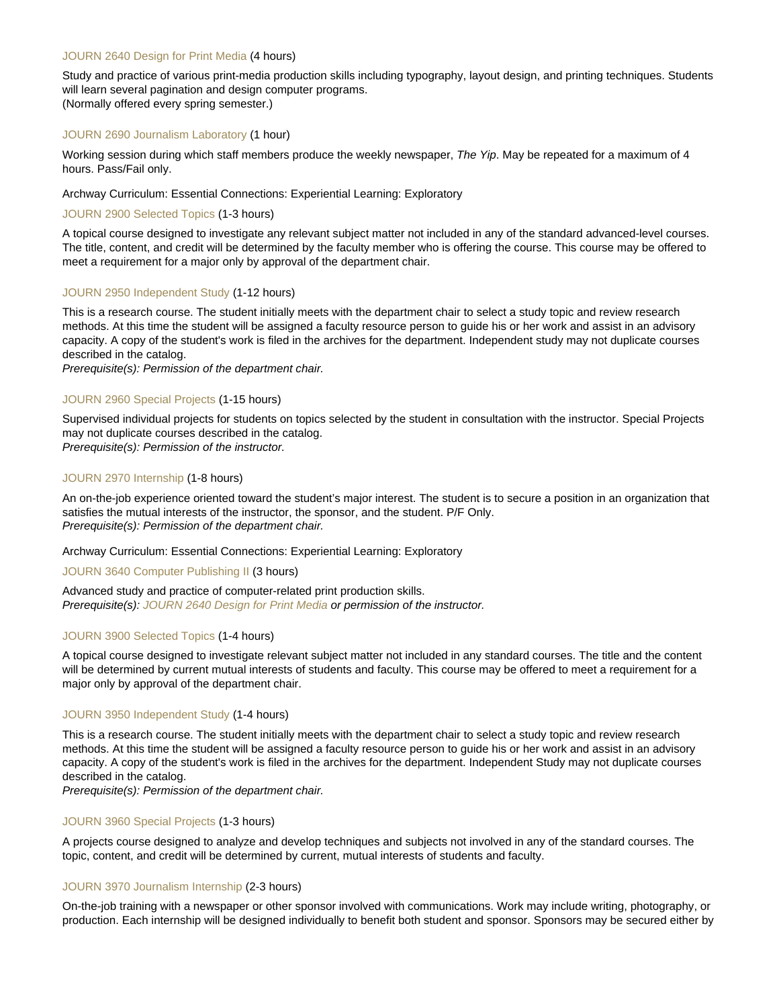## [JOURN 2640 Design for Print Media](https://catalog.nebrwesleyan.edu/node/360409) (4 hours)

Study and practice of various print-media production skills including typography, layout design, and printing techniques. Students will learn several pagination and design computer programs. (Normally offered every spring semester.)

#### [JOURN 2690 Journalism Laboratory](https://catalog.nebrwesleyan.edu/node/360410) (1 hour)

Working session during which staff members produce the weekly newspaper, The Yip. May be repeated for a maximum of 4 hours. Pass/Fail only.

#### Archway Curriculum: Essential Connections: Experiential Learning: Exploratory

## [JOURN 2900 Selected Topics](https://catalog.nebrwesleyan.edu/node/360411) (1-3 hours)

A topical course designed to investigate any relevant subject matter not included in any of the standard advanced-level courses. The title, content, and credit will be determined by the faculty member who is offering the course. This course may be offered to meet a requirement for a major only by approval of the department chair.

#### [JOURN 2950 Independent Study](https://catalog.nebrwesleyan.edu/node/360412) (1-12 hours)

This is a research course. The student initially meets with the department chair to select a study topic and review research methods. At this time the student will be assigned a faculty resource person to guide his or her work and assist in an advisory capacity. A copy of the student's work is filed in the archives for the department. Independent study may not duplicate courses described in the catalog.

Prerequisite(s): Permission of the department chair.

#### [JOURN 2960 Special Projects](https://catalog.nebrwesleyan.edu/node/361493) (1-15 hours)

Supervised individual projects for students on topics selected by the student in consultation with the instructor. Special Projects may not duplicate courses described in the catalog.

Prerequisite(s): Permission of the instructor.

## [JOURN 2970 Internship](https://catalog.nebrwesleyan.edu/node/358040) (1-8 hours)

An on-the-job experience oriented toward the student's major interest. The student is to secure a position in an organization that satisfies the mutual interests of the instructor, the sponsor, and the student. P/F Only. Prerequisite(s): Permission of the department chair.

Archway Curriculum: Essential Connections: Experiential Learning: Exploratory

#### [JOURN 3640 Computer Publishing II](https://catalog.nebrwesleyan.edu/node/360413) (3 hours)

Advanced study and practice of computer-related print production skills. Prerequisite(s): [JOURN 2640 Design for Print Media](https://catalog.nebrwesleyan.edu/cc/2021-2022/course/360409) or permission of the instructor.

#### [JOURN 3900 Selected Topics](https://catalog.nebrwesleyan.edu/node/361495) (1-4 hours)

A topical course designed to investigate relevant subject matter not included in any standard courses. The title and the content will be determined by current mutual interests of students and faculty. This course may be offered to meet a requirement for a major only by approval of the department chair.

#### [JOURN 3950 Independent Study](https://catalog.nebrwesleyan.edu/node/361496) (1-4 hours)

This is a research course. The student initially meets with the department chair to select a study topic and review research methods. At this time the student will be assigned a faculty resource person to guide his or her work and assist in an advisory capacity. A copy of the student's work is filed in the archives for the department. Independent Study may not duplicate courses described in the catalog.

Prerequisite(s): Permission of the department chair.

#### [JOURN 3960 Special Projects](https://catalog.nebrwesleyan.edu/node/360414) (1-3 hours)

A projects course designed to analyze and develop techniques and subjects not involved in any of the standard courses. The topic, content, and credit will be determined by current, mutual interests of students and faculty.

#### [JOURN 3970 Journalism Internship](https://catalog.nebrwesleyan.edu/node/360415) (2-3 hours)

On-the-job training with a newspaper or other sponsor involved with communications. Work may include writing, photography, or production. Each internship will be designed individually to benefit both student and sponsor. Sponsors may be secured either by